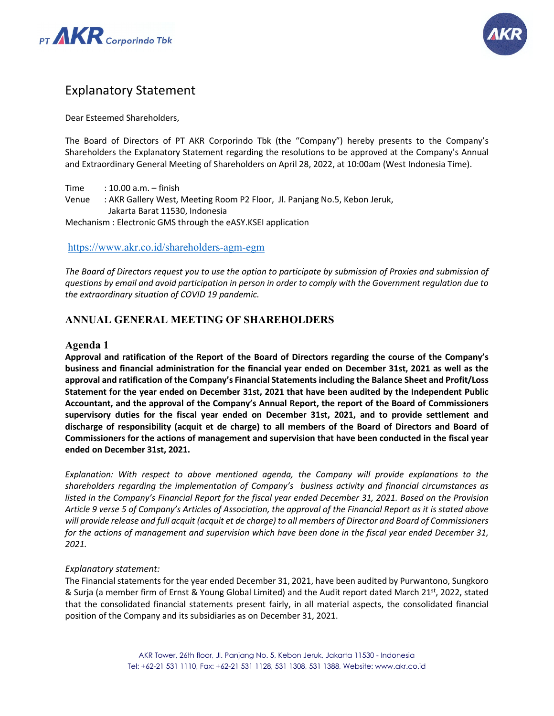



# Explanatory Statement

Dear Esteemed Shareholders,

The Board of Directors of PT AKR Corporindo Tbk (the "Company") hereby presents to the Company's Shareholders the Explanatory Statement regarding the resolutions to be approved at the Company's Annual and Extraordinary General Meeting of Shareholders on April 28, 2022, at 10:00am (West Indonesia Time).

Time : 10.00 a.m. – finish Venue : AKR Gallery West, Meeting Room P2 Floor, Jl. Panjang No.5, Kebon Jeruk, Jakarta Barat 11530, Indonesia Mechanism : Electronic GMS through the eASY.KSEI application

#### <https://www.akr.co.id/shareholders-agm-egm>

The Board of Directors request you to use the option to participate by submission of Proxies and submission of *questions by email and avoid participation in person in order to comply with the Government regulation due to the extraordinary situation of COVID 19 pandemic.* 

## **ANNUAL GENERAL MEETING OF SHAREHOLDERS**

#### **Agenda 1**

**Approval and ratification of the Report of the Board of Directors regarding the course of the Company's business and financial administration for the financial year ended on December 31st, 2021 as well as the approval and ratification of the Company's Financial Statements including the Balance Sheet and Profit/Loss Statement for the year ended on December 31st, 2021 that have been audited by the Independent Public Accountant, and the approval of the Company's Annual Report, the report of the Board of Commissioners supervisory duties for the fiscal year ended on December 31st, 2021, and to provide settlement and discharge of responsibility (acquit et de charge) to all members of the Board of Directors and Board of Commissioners for the actions of management and supervision that have been conducted in the fiscal year ended on December 31st, 2021.**

*Explanation: With respect to above mentioned agenda, the Company will provide explanations to the shareholders regarding the implementation of Company's business activity and financial circumstances as listed in the Company's Financial Report for the fiscal year ended December 31, 2021. Based on the Provision Article 9 verse 5 of Company's Articles of Association, the approval of the Financial Report as it is stated above will provide release and full acquit (acquit et de charge) to all members of Director and Board of Commissioners for the actions of management and supervision which have been done in the fiscal year ended December 31, 2021.*

#### *Explanatory statement:*

The Financial statements for the year ended December 31, 2021, have been audited by Purwantono, Sungkoro & Surja (a member firm of Ernst & Young Global Limited) and the Audit report dated March 21st, 2022, stated that the consolidated financial statements present fairly, in all material aspects, the consolidated financial position of the Company and its subsidiaries as on December 31, 2021.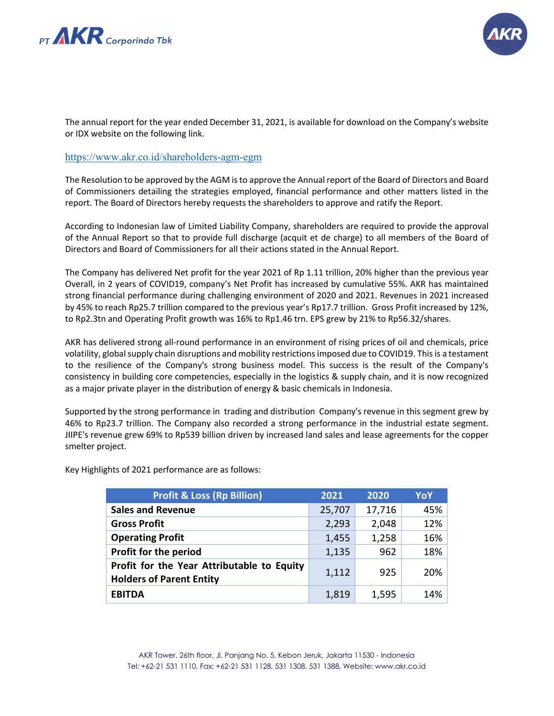



The annual report for the year ended December 31, 2021, is available for download on the Company's website or IDX website on the following link.

#### <https://www.akr.co.id/shareholders-agm-egm>

The Resolution to be approved by the AGM is to approve the Annual report of the Board of Directors and Board of Commissioners detailing the strategies employed, financial performance and other matters listed in the report. The Board of Directors hereby requests the shareholders to approve and ratify the Report.

According to Indonesian law of Limited Liability Company, shareholders are required to provide the approval of the Annual Report so that to provide full discharge (acquit et de charge) to all members of the Board of Directors and Board of Commissioners for all their actions stated in the Annual Report.

The Company has delivered Net profit for the year 2021 of Rp 1.11 trillion, 20% higher than the previous year Overall, in 2 years of COVID19, company's Net Profit has increased by cumulative 55%. AKR has maintained strong financial performance during challenging environment of 2020 and 2021. Revenues in 2021 increased by 45% to reach Rp25.7 trillion compared to the previous year's Rp17.7 trillion. Gross Profit increased by 12%, to Rp2.3tn and Operating Profit growth was 16% to Rp1.46 trn. EPS grew by 21% to Rp56.32/shares.

AKR has delivered strong all-round performance in an environment of rising prices of oil and chemicals, price volatility, global supply chain disruptions and mobility restrictions imposed due to COVID19. This is a testament to the resilience of the Company's strong business model. This success is the result of the Company's consistency in building core competencies, especially in the logistics & supply chain, and it is now recognized as a major private player in the distribution of energy & basic chemicals in Indonesia.

Supported by the strong performance in trading and distribution Company's revenue in this segment grew by 46% to Rp23.7 trillion. The Company also recorded a strong performance in the industrial estate segment. JIIPE's revenue grew 69% to Rp539 billion driven by increased land sales and lease agreements for the copper smelter project.

| <b>Profit &amp; Loss (Rp Billion)</b>                                         | 2021   | 2020   | YoY |
|-------------------------------------------------------------------------------|--------|--------|-----|
| <b>Sales and Revenue</b>                                                      | 25,707 | 17,716 | 45% |
| <b>Gross Profit</b>                                                           | 2,293  | 2,048  | 12% |
| <b>Operating Profit</b>                                                       | 1,455  | 1,258  | 16% |
| Profit for the period                                                         | 1,135  | 962    | 18% |
| Profit for the Year Attributable to Equity<br><b>Holders of Parent Entity</b> | 1,112  | 925    | 20% |
| <b>EBITDA</b>                                                                 | 1,819  | 1,595  | 14% |

Key Highlights of 2021 performance are as follows: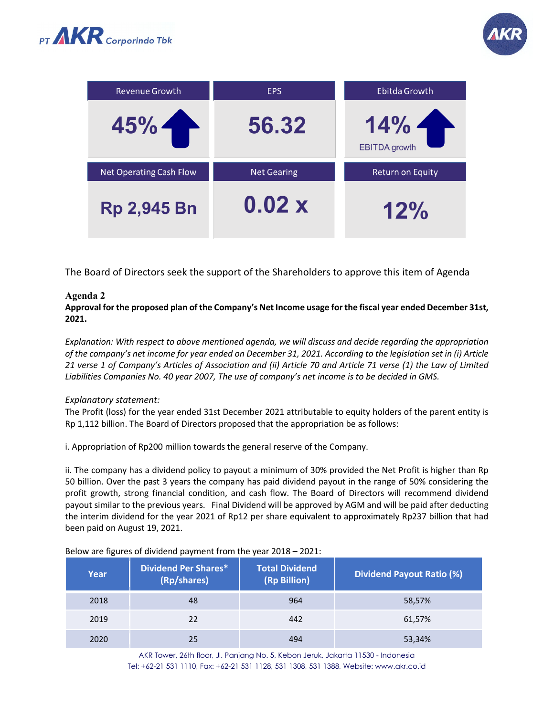



| Revenue Growth                 | <b>EPS</b>         | Ebitda Growth               |
|--------------------------------|--------------------|-----------------------------|
| 45%                            | 56.32              | 14%<br><b>EBITDA</b> growth |
| <b>Net Operating Cash Flow</b> | <b>Net Gearing</b> | <b>Return on Equity</b>     |
| <b>Rp 2,945 Bn</b>             | 0.02x              | 12%                         |

The Board of Directors seek the support of the Shareholders to approve this item of Agenda

## **Agenda 2**

**Approval for the proposed plan of the Company's Net Income usage for the fiscal year ended December 31st, 2021.**

*Explanation: With respect to above mentioned agenda, we will discuss and decide regarding the appropriation of the company's net income for year ended on December 31, 2021. According to the legislation set in (i) Article 21 verse 1 of Company's Articles of Association and (ii) Article 70 and Article 71 verse (1) the Law of Limited Liabilities Companies No. 40 year 2007, The use of company's net income is to be decided in GMS.*

#### *Explanatory statement:*

The Profit (loss) for the year ended 31st December 2021 attributable to equity holders of the parent entity is Rp 1,112 billion. The Board of Directors proposed that the appropriation be as follows:

i. Appropriation of Rp200 million towards the general reserve of the Company.

ii. The company has a dividend policy to payout a minimum of 30% provided the Net Profit is higher than Rp 50 billion. Over the past 3 years the company has paid dividend payout in the range of 50% considering the profit growth, strong financial condition, and cash flow. The Board of Directors will recommend dividend payout similar to the previous years. Final Dividend will be approved by AGM and will be paid after deducting the interim dividend for the year 2021 of Rp12 per share equivalent to approximately Rp237 billion that had been paid on August 19, 2021.

| Year | <b>Dividend Per Shares*</b><br>(Rp/shares) | <b>Total Dividend</b><br>(Rp Billion) | <b>Dividend Payout Ratio (%)</b> |
|------|--------------------------------------------|---------------------------------------|----------------------------------|
| 2018 | 48                                         | 964                                   | 58,57%                           |
| 2019 | 22                                         | 442                                   | 61,57%                           |
| 2020 | 25                                         | 494                                   | 53,34%                           |

Below are figures of dividend payment from the year 2018 – 2021:

AKR Tower, 26th floor, Jl. Panjang No. 5, Kebon Jeruk, Jakarta 11530 - Indonesia Tel: +62-21 531 1110, Fax: +62-21 531 1128, 531 1308, 531 1388, Website: www.akr.co.id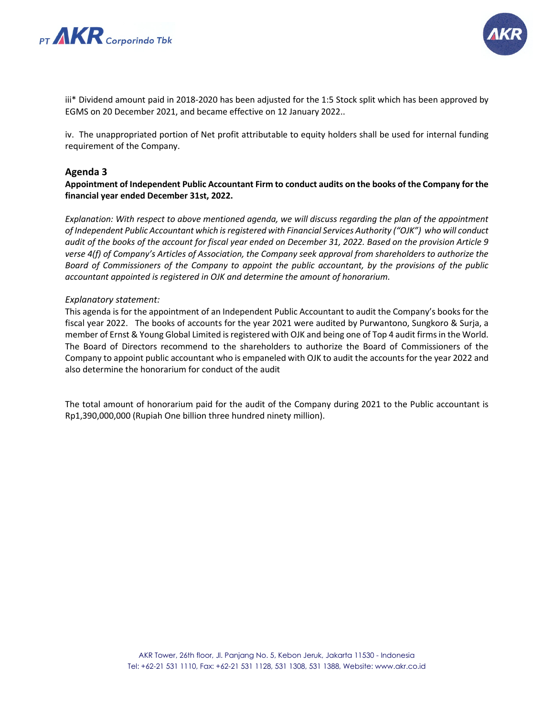



iii\* Dividend amount paid in 2018-2020 has been adjusted for the 1:5 Stock split which has been approved by EGMS on 20 December 2021, and became effective on 12 January 2022..

iv. The unappropriated portion of Net profit attributable to equity holders shall be used for internal funding requirement of the Company.

## **Agenda 3**

**Appointment of Independent Public Accountant Firm to conduct audits on the books of the Company for the financial year ended December 31st, 2022.**

*Explanation: With respect to above mentioned agenda, we will discuss regarding the plan of the appointment of Independent Public Accountant which is registered with Financial Services Authority ("OJK") who will conduct audit of the books of the account for fiscal year ended on December 31, 2022. Based on the provision Article 9 verse 4(f) of Company's Articles of Association, the Company seek approval from shareholders to authorize the Board of Commissioners of the Company to appoint the public accountant, by the provisions of the public accountant appointed is registered in OJK and determine the amount of honorarium.*

#### *Explanatory statement:*

This agenda is for the appointment of an Independent Public Accountant to audit the Company's books for the fiscal year 2022. The books of accounts for the year 2021 were audited by Purwantono, Sungkoro & Surja, a member of Ernst & Young Global Limited is registered with OJK and being one of Top 4 audit firms in the World. The Board of Directors recommend to the shareholders to authorize the Board of Commissioners of the Company to appoint public accountant who is empaneled with OJK to audit the accounts for the year 2022 and also determine the honorarium for conduct of the audit

The total amount of honorarium paid for the audit of the Company during 2021 to the Public accountant is Rp1,390,000,000 (Rupiah One billion three hundred ninety million).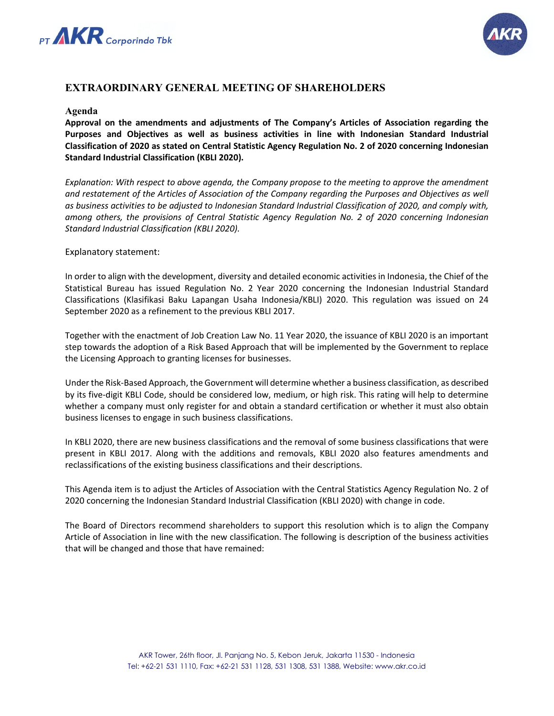



# **EXTRAORDINARY GENERAL MEETING OF SHAREHOLDERS**

#### **Agenda**

**Approval on the amendments and adjustments of The Company's Articles of Association regarding the Purposes and Objectives as well as business activities in line with Indonesian Standard Industrial Classification of 2020 as stated on Central Statistic Agency Regulation No. 2 of 2020 concerning Indonesian Standard Industrial Classification (KBLI 2020).**

*Explanation: With respect to above agenda, the Company propose to the meeting to approve the amendment and restatement of the Articles of Association of the Company regarding the Purposes and Objectives as well as business activities to be adjusted to Indonesian Standard Industrial Classification of 2020, and comply with, among others, the provisions of Central Statistic Agency Regulation No. 2 of 2020 concerning Indonesian Standard Industrial Classification (KBLI 2020).*

#### Explanatory statement:

In order to align with the development, diversity and detailed economic activities in Indonesia, the Chief of the Statistical Bureau has issued Regulation No. 2 Year 2020 concerning the Indonesian Industrial Standard Classifications (Klasifikasi Baku Lapangan Usaha Indonesia/KBLI) 2020. This regulation was issued on 24 September 2020 as a refinement to the previous KBLI 2017.

Together with the enactment of Job Creation Law No. 11 Year 2020, the issuance of KBLI 2020 is an important step towards the adoption of a Risk Based Approach that will be implemented by the Government to replace the Licensing Approach to granting licenses for businesses.

Under the Risk-Based Approach, the Government will determine whether a business classification, as described by its five-digit KBLI Code, should be considered low, medium, or high risk. This rating will help to determine whether a company must only register for and obtain a standard certification or whether it must also obtain business licenses to engage in such business classifications.

In KBLI 2020, there are new business classifications and the removal of some business classifications that were present in KBLI 2017. Along with the additions and removals, KBLI 2020 also features amendments and reclassifications of the existing business classifications and their descriptions.

This Agenda item is to adjust the Articles of Association with the Central Statistics Agency Regulation No. 2 of 2020 concerning the Indonesian Standard Industrial Classification (KBLI 2020) with change in code.

The Board of Directors recommend shareholders to support this resolution which is to align the Company Article of Association in line with the new classification. The following is description of the business activities that will be changed and those that have remained: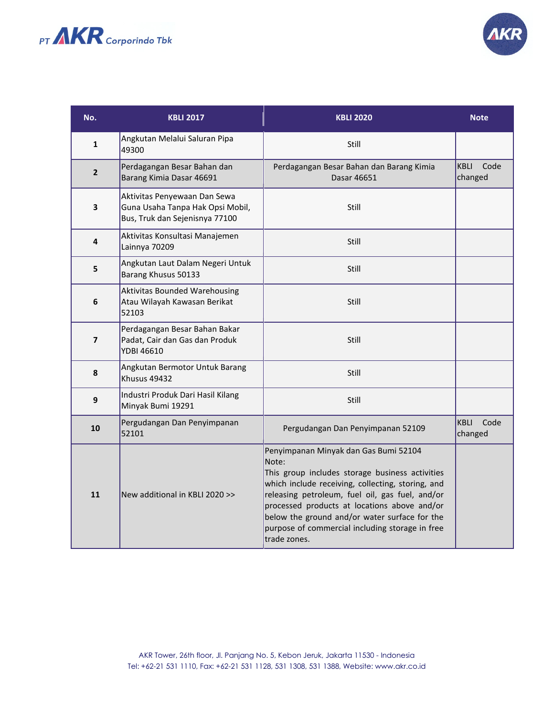



| No.              | <b>KBLI 2017</b>                                                                                   | <b>KBLI 2020</b>                                                                                                                                                                                                                                                                                                                                                              | <b>Note</b>                    |
|------------------|----------------------------------------------------------------------------------------------------|-------------------------------------------------------------------------------------------------------------------------------------------------------------------------------------------------------------------------------------------------------------------------------------------------------------------------------------------------------------------------------|--------------------------------|
| $\mathbf{1}$     | Angkutan Melalui Saluran Pipa<br>49300                                                             | Still                                                                                                                                                                                                                                                                                                                                                                         |                                |
| $\overline{2}$   | Perdagangan Besar Bahan dan<br>Barang Kimia Dasar 46691                                            | Perdagangan Besar Bahan dan Barang Kimia<br>Dasar 46651                                                                                                                                                                                                                                                                                                                       | <b>KBLI</b><br>Code<br>changed |
| 3                | Aktivitas Penyewaan Dan Sewa<br>Guna Usaha Tanpa Hak Opsi Mobil,<br>Bus, Truk dan Sejenisnya 77100 | Still                                                                                                                                                                                                                                                                                                                                                                         |                                |
| 4                | Aktivitas Konsultasi Manajemen<br>Lainnya 70209                                                    | Still                                                                                                                                                                                                                                                                                                                                                                         |                                |
| 5                | Angkutan Laut Dalam Negeri Untuk<br>Barang Khusus 50133                                            | Still                                                                                                                                                                                                                                                                                                                                                                         |                                |
| 6                | <b>Aktivitas Bounded Warehousing</b><br>Atau Wilayah Kawasan Berikat<br>52103                      | Still                                                                                                                                                                                                                                                                                                                                                                         |                                |
| $\overline{7}$   | Perdagangan Besar Bahan Bakar<br>Padat, Cair dan Gas dan Produk<br><b>YDBI 46610</b>               | Still                                                                                                                                                                                                                                                                                                                                                                         |                                |
| 8                | Angkutan Bermotor Untuk Barang<br>Khusus 49432                                                     | Still                                                                                                                                                                                                                                                                                                                                                                         |                                |
| $\boldsymbol{9}$ | Industri Produk Dari Hasil Kilang<br>Minyak Bumi 19291                                             | Still                                                                                                                                                                                                                                                                                                                                                                         |                                |
| 10               | Pergudangan Dan Penyimpanan<br>52101                                                               | Pergudangan Dan Penyimpanan 52109                                                                                                                                                                                                                                                                                                                                             | <b>KBLI</b><br>Code<br>changed |
| 11               | New additional in KBLI 2020 >>                                                                     | Penyimpanan Minyak dan Gas Bumi 52104<br>Note:<br>This group includes storage business activities<br>which include receiving, collecting, storing, and<br>releasing petroleum, fuel oil, gas fuel, and/or<br>processed products at locations above and/or<br>below the ground and/or water surface for the<br>purpose of commercial including storage in free<br>trade zones. |                                |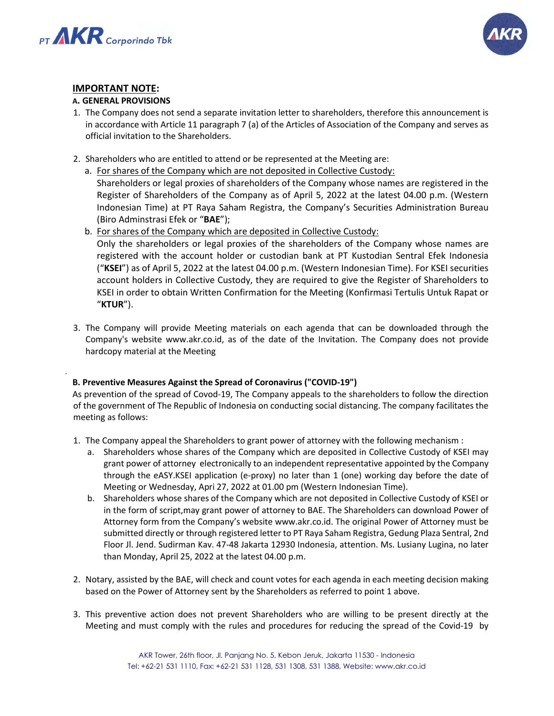

.



## **IMPORTANT NOTE:**

## **A. GENERAL PROVISIONS**

- 1. The Company does not send a separate invitation letter to shareholders, therefore this announcement is in accordance with Article 11 paragraph 7 (a) of the Articles of Association of the Company and serves as official invitation to the Shareholders.
- 2. Shareholders who are entitled to attend or be represented at the Meeting are:
	- a. For shares of the Company which are not deposited in Collective Custody:

Shareholders or legal proxies of shareholders of the Company whose names are registered in the Register of Shareholders of the Company as of April 5, 2022 at the latest 04.00 p.m. (Western Indonesian Time) at PT Raya Saham Registra, the Company's Securities Administration Bureau (Biro Adminstrasi Efek or "**BAE**");

b. For shares of the Company which are deposited in Collective Custody:

Only the shareholders or legal proxies of the shareholders of the Company whose names are registered with the account holder or custodian bank at PT Kustodian Sentral Efek Indonesia ("**KSEI**") as of April 5, 2022 at the latest 04.00 p.m. (Western Indonesian Time). For KSEI securities account holders in Collective Custody, they are required to give the Register of Shareholders to KSEI in order to obtain Written Confirmation for the Meeting (Konfirmasi Tertulis Untuk Rapat or "**KTUR**").

3. The Company will provide Meeting materials on each agenda that can be downloaded through the Company's website www.akr.co.id, as of the date of the Invitation. The Company does not provide hardcopy material at the Meeting

## **B. Preventive Measures Against the Spread of Coronavirus ("COVID-19")**

As prevention of the spread of Covod-19, The Company appeals to the shareholders to follow the direction of the government of The Republic of Indonesia on conducting social distancing. The company facilitates the meeting as follows:

- 1. The Company appeal the Shareholders to grant power of attorney with the following mechanism :
	- a. Shareholders whose shares of the Company which are deposited in Collective Custody of KSEI may grant power of attorney electronically to an independent representative appointed by the Company through the eASY.KSEI application (e-proxy) no later than 1 (one) working day before the date of Meeting or Wednesday, Apri 27, 2022 at 01.00 pm (Western Indonesian Time).
	- b. Shareholders whose shares of the Company which are not deposited in Collective Custody of KSEI or in the form of script,may grant power of attorney to BAE. The Shareholders can download Power of Attorney form from the Company's website www.akr.co.id. The original Power of Attorney must be submitted directly or through registered letter to PT Raya Saham Registra, Gedung Plaza Sentral, 2nd Floor Jl. Jend. Sudirman Kav. 47-48 Jakarta 12930 Indonesia, attention. Ms. Lusiany Lugina, no later than Monday, April 25, 2022 at the latest 04.00 p.m.
- 2. Notary, assisted by the BAE, will check and count votes for each agenda in each meeting decision making based on the Power of Attorney sent by the Shareholders as referred to point 1 above.
- 3. This preventive action does not prevent Shareholders who are willing to be present directly at the Meeting and must comply with the rules and procedures for reducing the spread of the Covid-19 by